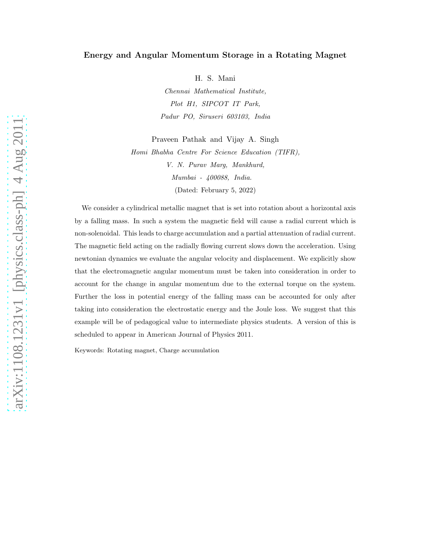# Energy and Angular Momentum Storage in a Rotating Magnet

H. S. Mani

Chennai Mathematical Institute, Plot H1, SIPCOT IT Park, Padur PO, Siruseri 603103, India

Praveen Pathak and Vijay A. Singh Homi Bhabha Centre For Science Education (TIFR), V. N. Purav Marg, Mankhurd, Mumbai - 400088, India. (Dated: February 5, 2022)

We consider a cylindrical metallic magnet that is set into rotation about a horizontal axis by a falling mass. In such a system the magnetic field will cause a radial current which is non-solenoidal. This leads to charge accumulation and a partial attenuation of radial current. The magnetic field acting on the radially flowing current slows down the acceleration. Using newtonian dynamics we evaluate the angular velocity and displacement. We explicitly show that the electromagnetic angular momentum must be taken into consideration in order to account for the change in angular momentum due to the external torque on the system. Further the loss in potential energy of the falling mass can be accounted for only after taking into consideration the electrostatic energy and the Joule loss. We suggest that this example will be of pedagogical value to intermediate physics students. A version of this is scheduled to appear in American Journal of Physics 2011.

Keywords: Rotating magnet, Charge accumulation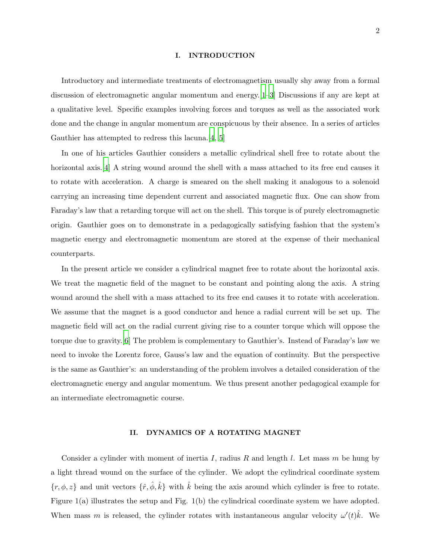#### I. INTRODUCTION

Introductory and intermediate treatments of electromagnetism usually shy away from a formal discussion of electromagnetic angular momentum and energy.[\[1](#page-9-0)[–3\]](#page-9-1) Discussions if any are kept at a qualitative level. Specific examples involving forces and torques as well as the associated work done and the change in angular momentum are conspicuous by their absence. In a series of articles Gauthier has attempted to redress this lacuna.[\[4,](#page-9-2) [5](#page-9-3)]

In one of his articles Gauthier considers a metallic cylindrical shell free to rotate about the horizontal axis.<sup>[\[4](#page-9-2)]</sup> A string wound around the shell with a mass attached to its free end causes it to rotate with acceleration. A charge is smeared on the shell making it analogous to a solenoid carrying an increasing time dependent current and associated magnetic flux. One can show from Faraday's law that a retarding torque will act on the shell. This torque is of purely electromagnetic origin. Gauthier goes on to demonstrate in a pedagogically satisfying fashion that the system's magnetic energy and electromagnetic momentum are stored at the expense of their mechanical counterparts.

In the present article we consider a cylindrical magnet free to rotate about the horizontal axis. We treat the magnetic field of the magnet to be constant and pointing along the axis. A string wound around the shell with a mass attached to its free end causes it to rotate with acceleration. We assume that the magnet is a good conductor and hence a radial current will be set up. The magnetic field will act on the radial current giving rise to a counter torque which will oppose the torque due to gravity.[\[6](#page-9-4)] The problem is complementary to Gauthier's. Instead of Faraday's law we need to invoke the Lorentz force, Gauss's law and the equation of continuity. But the perspective is the same as Gauthier's: an understanding of the problem involves a detailed consideration of the electromagnetic energy and angular momentum. We thus present another pedagogical example for an intermediate electromagnetic course.

#### II. DYNAMICS OF A ROTATING MAGNET

Consider a cylinder with moment of inertia I, radius R and length I. Let mass m be hung by a light thread wound on the surface of the cylinder. We adopt the cylindrical coordinate system  $\{r, \phi, z\}$  and unit vectors  $\{\hat{r}, \hat{\phi}, \hat{k}\}$  with  $\hat{k}$  being the axis around which cylinder is free to rotate. Figure 1(a) illustrates the setup and Fig. 1(b) the cylindrical coordinate system we have adopted. When mass m is released, the cylinder rotates with instantaneous angular velocity  $\omega'(t)\hat{k}$ . We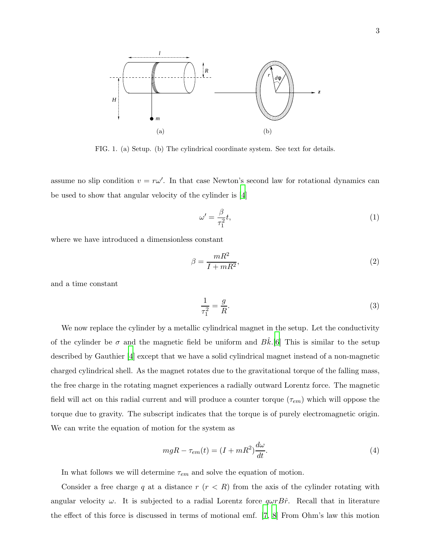

FIG. 1. (a) Setup. (b) The cylindrical coordinate system. See text for details.

assume no slip condition  $v = r\omega'$ . In that case Newton's second law for rotational dynamics can be used to show that angular velocity of the cylinder is [\[4\]](#page-9-2)

<span id="page-2-0"></span>
$$
\omega' = \frac{\beta}{\tau_1^2} t,\tag{1}
$$

where we have introduced a dimensionless constant

<span id="page-2-2"></span>
$$
\beta = \frac{mR^2}{I + mR^2},\tag{2}
$$

and a time constant

$$
\frac{1}{\tau_1^2} = \frac{g}{R}.\tag{3}
$$

We now replace the cylinder by a metallic cylindrical magnet in the setup. Let the conductivity of the cylinder be  $\sigma$  and the magnetic field be uniform and  $B\hat{k}$ .[\[6\]](#page-9-4) This is similar to the setup described by Gauthier [\[4\]](#page-9-2) except that we have a solid cylindrical magnet instead of a non-magnetic charged cylindrical shell. As the magnet rotates due to the gravitational torque of the falling mass, the free charge in the rotating magnet experiences a radially outward Lorentz force. The magnetic field will act on this radial current and will produce a counter torque  $(\tau_{em})$  which will oppose the torque due to gravity. The subscript indicates that the torque is of purely electromagnetic origin. We can write the equation of motion for the system as

<span id="page-2-1"></span>
$$
mgR - \tau_{em}(t) = (I + mR^2)\frac{d\omega}{dt}.
$$
\n(4)

In what follows we will determine  $\tau_{em}$  and solve the equation of motion.

Consider a free charge q at a distance  $r$  ( $r < R$ ) from the axis of the cylinder rotating with angular velocity  $\omega$ . It is subjected to a radial Lorentz force  $q\omega rB\hat{r}$ . Recall that in literature the effect of this force is discussed in terms of motional emf. [\[7](#page-10-0), [8\]](#page-10-1) From Ohm's law this motion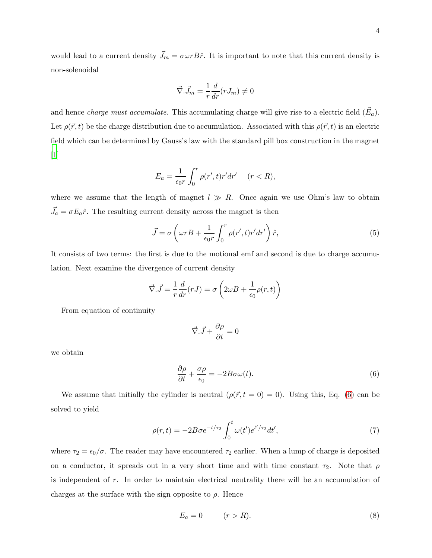would lead to a current density  $\vec{J}_m = \sigma \omega r B \hat{r}$ . It is important to note that this current density is non-solenoidal

$$
\vec{\nabla}.\vec{J}_m = \frac{1}{r}\frac{d}{dr}(rJ_m) \neq 0
$$

and hence *charge must accumulate*. This accumulating charge will give rise to a electric field  $(\vec{E}_a)$ . Let  $\rho(\vec{r}, t)$  be the charge distribution due to accumulation. Associated with this  $\rho(\vec{r}, t)$  is an electric field which can be determined by Gauss's law with the standard pill box construction in the magnet  $[1]$  $[1]$ 

$$
E_a = \frac{1}{\epsilon_0 r} \int_0^r \rho(r', t) r' dr' \quad (r < R),
$$

where we assume that the length of magnet  $l \gg R$ . Once again we use Ohm's law to obtain  $\vec{J}_a = \sigma E_a \hat{r}$ . The resulting current density across the magnet is then

<span id="page-3-1"></span>
$$
\vec{J} = \sigma \left( \omega r B + \frac{1}{\epsilon_0 r} \int_0^r \rho(r', t) r' dr' \right) \hat{r},\tag{5}
$$

It consists of two terms: the first is due to the motional emf and second is due to charge accumulation. Next examine the divergence of current density

$$
\vec{\nabla} \cdot \vec{J} = \frac{1}{r} \frac{d}{dr} (rJ) = \sigma \left( 2\omega B + \frac{1}{\epsilon_0} \rho(r, t) \right)
$$

From equation of continuity

$$
\vec{\nabla}.\vec{J} + \frac{\partial \rho}{\partial t} = 0
$$

we obtain

<span id="page-3-0"></span>
$$
\frac{\partial \rho}{\partial t} + \frac{\sigma \rho}{\epsilon_0} = -2B\sigma \omega(t). \tag{6}
$$

We assume that initially the cylinder is neutral  $(\rho(\vec{r}, t = 0) = 0)$ . Using this, Eq. [\(6\)](#page-3-0) can be solved to yield

<span id="page-3-2"></span>
$$
\rho(r,t) = -2B\sigma e^{-t/\tau_2} \int_0^t \omega(t') e^{t'/\tau_2} dt',\tag{7}
$$

where  $\tau_2 = \epsilon_0/\sigma$ . The reader may have encountered  $\tau_2$  earlier. When a lump of charge is deposited on a conductor, it spreads out in a very short time and with time constant  $\tau_2$ . Note that  $\rho$ is independent of r. In order to maintain electrical neutrality there will be an accumulation of charges at the surface with the sign opposite to  $\rho$ . Hence

<span id="page-3-3"></span>
$$
E_a = 0 \qquad (r > R). \tag{8}
$$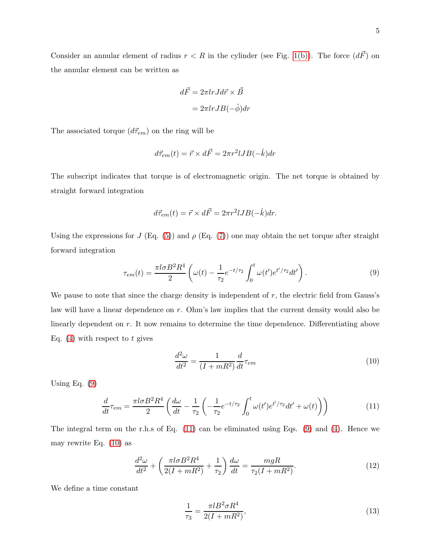Consider an annular element of radius  $r < R$  in the cylinder (see Fig. [1\(b\)\)](#page-2-0). The force  $(d\vec{F})$  on the annular element can be written as

$$
d\vec{F} = 2\pi lr J d\vec{r} \times \vec{B}
$$

$$
= 2\pi lr J B(-\hat{\phi}) dr
$$

The associated torque  $(d\vec{\tau}_{em})$  on the ring will be

$$
d\vec{\tau}_{em}(t) = \vec{r} \times d\vec{F} = 2\pi r^2 IJB(-\hat{k})dr
$$

The subscript indicates that torque is of electromagnetic origin. The net torque is obtained by straight forward integration

$$
d\vec{\tau}_{em}(t) = \vec{r} \times d\vec{F} = 2\pi r^2 lJB(-\hat{k})dr.
$$

Using the expressions for J (Eq. [\(5\)](#page-3-1)) and  $\rho$  (Eq. [\(7\)](#page-3-2)) one may obtain the net torque after straight forward integration

<span id="page-4-0"></span>
$$
\tau_{em}(t) = \frac{\pi l \sigma B^2 R^4}{2} \left( \omega(t) - \frac{1}{\tau_2} e^{-t/\tau_2} \int_0^t \omega(t') e^{t'/\tau_2} dt' \right). \tag{9}
$$

We pause to note that since the charge density is independent of  $r$ , the electric field from Gauss's law will have a linear dependence on r. Ohm's law implies that the current density would also be linearly dependent on r. It now remains to determine the time dependence. Differentiating above Eq. [\(4\)](#page-2-1) with respect to t gives

<span id="page-4-2"></span>
$$
\frac{d^2\omega}{dt^2} = \frac{1}{(I+mR^2)}\frac{d}{dt}\tau_{em}
$$
\n(10)

Using Eq.  $(9)$ 

<span id="page-4-1"></span>
$$
\frac{d}{dt}\tau_{em} = \frac{\pi l \sigma B^2 R^4}{2} \left( \frac{d\omega}{dt} - \frac{1}{\tau_2} \left( -\frac{1}{\tau_2} e^{-t/\tau_2} \int_0^t \omega(t') e^{t'/\tau_2} dt' + \omega(t) \right) \right)
$$
(11)

The integral term on the r.h.s of Eq. [\(11\)](#page-4-1) can be eliminated using Eqs. [\(9\)](#page-4-0) and [\(4\)](#page-2-1). Hence we may rewrite Eq. [\(10\)](#page-4-2) as

<span id="page-4-3"></span>
$$
\frac{d^2\omega}{dt^2} + \left(\frac{\pi l \sigma B^2 R^4}{2(I + mR^2)} + \frac{1}{\tau_2}\right) \frac{d\omega}{dt} = \frac{mgR}{\tau_2(I + mR^2)}.
$$
\n(12)

We define a time constant

<span id="page-4-4"></span>
$$
\frac{1}{\tau_3} = \frac{\pi l B^2 \sigma R^4}{2(I + mR^2)},\tag{13}
$$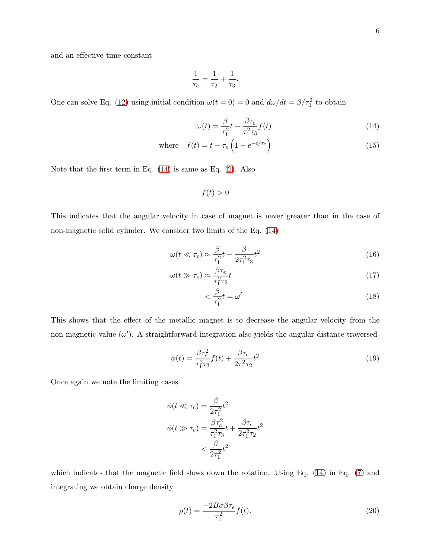and an effective time constant

$$
\frac{1}{\tau_e} = \frac{1}{\tau_2} + \frac{1}{\tau_3}.
$$

One can solve Eq. [\(12\)](#page-4-3) using initial condition  $\omega(t=0) = 0$  and  $d\omega/dt = \beta/\tau_1^2$  to obtain

<span id="page-5-0"></span>
$$
\omega(t) = \frac{\beta}{\tau_1^2} t - \frac{\beta \tau_e}{\tau_1^2 \tau_3} f(t) \tag{14}
$$

where 
$$
f(t) = t - \tau_e \left( 1 - e^{-t/\tau_e} \right)
$$
 (15)

Note that the first term in Eq.  $(14)$  is same as Eq.  $(2)$ . Also

$$
f(t) > 0
$$

This indicates that the angular velocity in case of magnet is never greater than in the case of non-magnetic solid cylinder. We consider two limits of the Eq. [\(14\)](#page-5-0)

$$
\omega(t \ll \tau_e) \approx \frac{\beta}{\tau_1^2} t - \frac{\beta}{2\tau_1^2 \tau_3} t^2
$$
\n(16)

$$
\omega(t \gg \tau_e) \approx \frac{\beta \tau_e}{\tau_1^2 \tau_2} t \tag{17}
$$

$$
\langle \frac{\beta}{\tau_1^2} t = \omega' \tag{18}
$$

This shows that the effect of the metallic magnet is to decrease the angular velocity from the non-magnetic value  $(\omega')$ . A straightforward integration also yields the angular distance traversed

<span id="page-5-1"></span>
$$
\phi(t) = \frac{\beta \tau_e^2}{\tau_1^2 \tau_3} f(t) + \frac{\beta \tau_e}{2\tau_1^2 \tau_2} t^2
$$
\n(19)

Once again we note the limiting cases

$$
\phi(t \ll \tau_e) = \frac{\beta}{2\tau_1^2} t^2
$$

$$
\phi(t \gg \tau_e) = \frac{\beta \tau_e^2}{\tau_1^2 \tau_3} t + \frac{\beta \tau_e}{2\tau_1^2 \tau_2} t^2
$$

$$
< \frac{\beta}{2\tau_1^2} t^2
$$

which indicates that the magnetic field slows down the rotation. Using Eq.  $(14)$  in Eq.  $(7)$  and integrating we obtain charge density

$$
\rho(t) = \frac{-2B\sigma\beta\tau_e}{\tau_1^2}f(t). \tag{20}
$$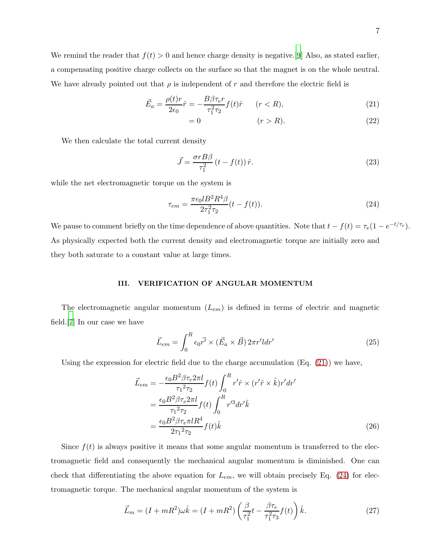We remind the reader that  $f(t) > 0$  and hence charge density is negative. [\[9](#page-10-2)] Also, as stated earlier, a compensating positive charge collects on the surface so that the magnet is on the whole neutral. We have already pointed out that  $\rho$  is independent of r and therefore the electric field is

<span id="page-6-0"></span>
$$
\vec{E}_a = \frac{\rho(t)r}{2\epsilon_0}\hat{r} = -\frac{B\beta\tau_e r}{\tau_1^2 \tau_2}f(t)\hat{r} \qquad (r < R),\tag{21}
$$

$$
= 0 \qquad (r > R). \qquad (22)
$$

We then calculate the total current density

<span id="page-6-4"></span>
$$
\vec{J} = \frac{\sigma r B \beta}{\tau_1^2} \left( t - f(t) \right) \hat{r}.
$$
\n(23)

while the net electromagnetic torque on the system is

<span id="page-6-1"></span>
$$
\tau_{em} = \frac{\pi \epsilon_0 l B^2 R^4 \beta}{2\tau_1^2 \tau_2} (t - f(t)).
$$
\n(24)

We pause to comment briefly on the time dependence of above quantities. Note that  $t - f(t) = \tau_e(1 - e^{-t/\tau_e})$ . As physically expected both the current density and electromagnetic torque are initially zero and they both saturate to a constant value at large times.

## III. VERIFICATION OF ANGULAR MOMENTUM

The electromagnetic angular momentum  $(L_{em})$  is defined in terms of electric and magnetic field.[\[7](#page-10-0)] In our case we have

<span id="page-6-5"></span>
$$
\vec{L}_{em} = \int_0^R \epsilon_0 \vec{r'} \times (\vec{E}_a \times \vec{B}) 2\pi r' l dr'
$$
 (25)

Using the expression for electric field due to the charge accumulation  $(Eq. (21))$  $(Eq. (21))$  $(Eq. (21))$  we have,

<span id="page-6-2"></span>
$$
\vec{L}_{em} = -\frac{\epsilon_0 B^2 \beta \tau_e 2\pi l}{\tau_1^2 \tau_2} f(t) \int_0^R r' \hat{r} \times (r' \hat{r} \times \hat{k}) r' dr'
$$
\n
$$
= \frac{\epsilon_0 B^2 \beta \tau_e 2\pi l}{\tau_1^2 \tau_2} f(t) \int_0^R r'^3 dr' \hat{k}
$$
\n
$$
= \frac{\epsilon_0 B^2 \beta \tau_e \pi l R^4}{2\tau_1^2 \tau_2} f(t) \hat{k}
$$
\n(26)

Since  $f(t)$  is always positive it means that some angular momentum is transferred to the electromagnetic field and consequently the mechanical angular momentum is diminished. One can check that differentiating the above equation for  $L_{em}$ , we will obtain precisely Eq. [\(24\)](#page-6-1) for electromagnetic torque. The mechanical angular momentum of the system is

<span id="page-6-3"></span>
$$
\vec{L}_m = (I + mR^2)\omega\hat{k} = (I + mR^2)\left(\frac{\beta}{\tau_1^2}t - \frac{\beta\tau_e}{\tau_1^2\tau_3}f(t)\right)\hat{k}.\tag{27}
$$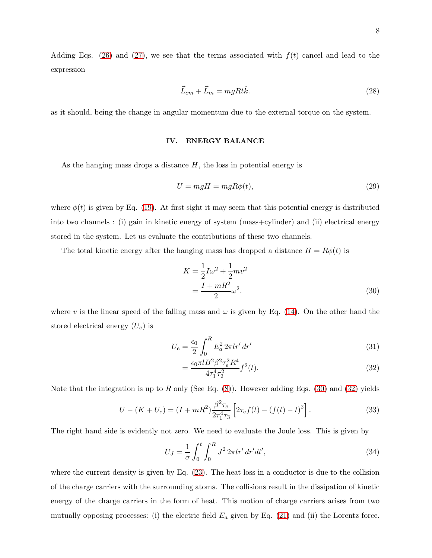Adding Eqs. [\(26\)](#page-6-2) and [\(27\)](#page-6-3), we see that the terms associated with  $f(t)$  cancel and lead to the expression

$$
\vec{L}_{em} + \vec{L}_m = mgRt\hat{k}.\tag{28}
$$

as it should, being the change in angular momentum due to the external torque on the system.

# IV. ENERGY BALANCE

As the hanging mass drops a distance  $H$ , the loss in potential energy is

$$
U = mgH = mgR\phi(t),\tag{29}
$$

where  $\phi(t)$  is given by Eq. [\(19\)](#page-5-1). At first sight it may seem that this potential energy is distributed into two channels : (i) gain in kinetic energy of system (mass+cylinder) and (ii) electrical energy stored in the system. Let us evaluate the contributions of these two channels.

The total kinetic energy after the hanging mass has dropped a distance  $H = R\phi(t)$  is

<span id="page-7-0"></span>
$$
K = \frac{1}{2}I\omega^2 + \frac{1}{2}mv^2
$$
  
=  $\frac{I + mR^2}{2}\omega^2$ . (30)

where v is the linear speed of the falling mass and  $\omega$  is given by Eq. [\(14\)](#page-5-0). On the other hand the stored electrical energy  $(U_e)$  is

<span id="page-7-1"></span>
$$
U_e = \frac{\epsilon_0}{2} \int_0^R E_a^2 2\pi l r' dr'
$$
\n(31)

$$
=\frac{\epsilon_0 \pi l B^2 \beta^2 \tau_e^2 R^4}{4\tau_1^4 \tau_2^2} f^2(t). \tag{32}
$$

Note that the integration is up to R only (See Eq.  $(8)$ ). However adding Eqs.  $(30)$  and  $(32)$  yields

<span id="page-7-2"></span>
$$
U - (K + U_e) = (I + mR^2) \frac{\beta^2 \tau_e}{2\tau_1^4 \tau_3} \left[ 2\tau_e f(t) - (f(t) - t)^2 \right].
$$
 (33)

The right hand side is evidently not zero. We need to evaluate the Joule loss. This is given by

<span id="page-7-3"></span>
$$
U_J = \frac{1}{\sigma} \int_0^t \int_0^R J^2 2\pi l r' dr' dt', \qquad (34)
$$

where the current density is given by Eq. [\(23\)](#page-6-4). The heat loss in a conductor is due to the collision of the charge carriers with the surrounding atoms. The collisions result in the dissipation of kinetic energy of the charge carriers in the form of heat. This motion of charge carriers arises from two mutually opposing processes: (i) the electric field  $E_a$  given by Eq. [\(21\)](#page-6-0) and (ii) the Lorentz force.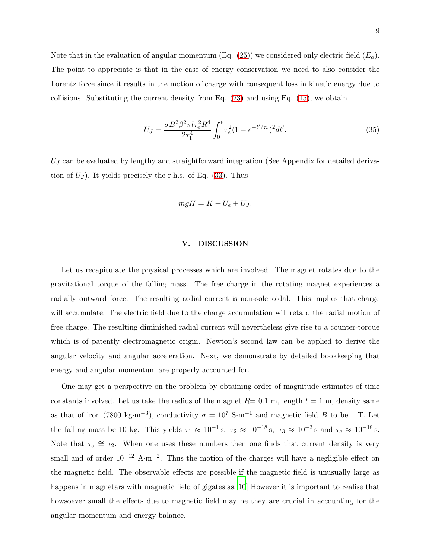$$
U_J = \frac{\sigma B^2 \beta^2 \pi l \tau_e^2 R^4}{2\tau_1^4} \int_0^t \tau_e^2 (1 - e^{-t'/\tau_e})^2 dt'.
$$
\n(35)

 $U_J$  can be evaluated by lengthy and straightforward integration (See Appendix for detailed derivation of  $U_J$ ). It yields precisely the r.h.s. of Eq. [\(33\)](#page-7-2). Thus

$$
mgH = K + U_e + U_J.
$$

# V. DISCUSSION

Let us recapitulate the physical processes which are involved. The magnet rotates due to the gravitational torque of the falling mass. The free charge in the rotating magnet experiences a radially outward force. The resulting radial current is non-solenoidal. This implies that charge will accumulate. The electric field due to the charge accumulation will retard the radial motion of free charge. The resulting diminished radial current will nevertheless give rise to a counter-torque which is of patently electromagnetic origin. Newton's second law can be applied to derive the angular velocity and angular acceleration. Next, we demonstrate by detailed bookkeeping that energy and angular momentum are properly accounted for.

One may get a perspective on the problem by obtaining order of magnitude estimates of time constants involved. Let us take the radius of the magnet  $R= 0.1$  m, length  $l = 1$  m, density same as that of iron (7800 kg·m<sup>-3</sup>), conductivity  $\sigma = 10^7 \text{ S} \cdot \text{m}^{-1}$  and magnetic field B to be 1 T. Let the falling mass be 10 kg. This yields  $\tau_1 \approx 10^{-1}$  s,  $\tau_2 \approx 10^{-18}$  s,  $\tau_3 \approx 10^{-3}$  s and  $\tau_e \approx 10^{-18}$  s. Note that  $\tau_e \cong \tau_2$ . When one uses these numbers then one finds that current density is very small and of order  $10^{-12}$  A·m<sup>-2</sup>. Thus the motion of the charges will have a negligible effect on the magnetic field. The observable effects are possible if the magnetic field is unusually large as happens in magnetars with magnetic field of gigateslas.<sup>[\[10](#page-10-3)]</sup> However it is important to realise that howsoever small the effects due to magnetic field may be they are crucial in accounting for the angular momentum and energy balance.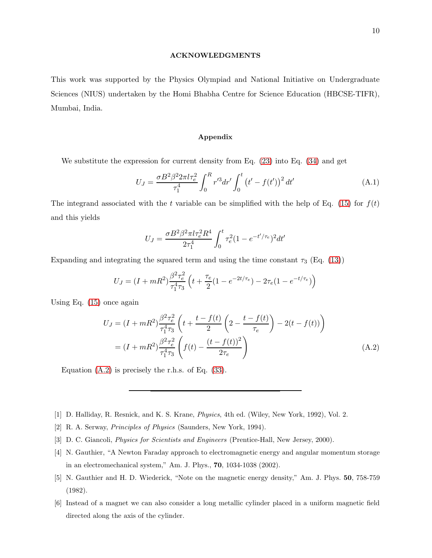#### ACKNOWLEDGMENTS

This work was supported by the Physics Olympiad and National Initiative on Undergraduate Sciences (NIUS) undertaken by the Homi Bhabha Centre for Science Education (HBCSE-TIFR), Mumbai, India.

## Appendix

We substitute the expression for current density from Eq. [\(23\)](#page-6-4) into Eq. [\(34\)](#page-7-3) and get

$$
U_J = \frac{\sigma B^2 \beta^2 2\pi l \tau_e^2}{\tau_1^4} \int_0^R r'^3 dr' \int_0^t \left(t' - f(t')\right)^2 dt' \tag{A.1}
$$

The integrand associated with the t variable can be simplified with the help of Eq. [\(15\)](#page-5-0) for  $f(t)$ and this yields

$$
U_J = \frac{\sigma B^2 \beta^2 \pi l \tau_e^2 R^4}{2\tau_1^4} \int_0^t \tau_e^2 (1 - e^{-t'/\tau_e})^2 dt'
$$

Expanding and integrating the squared term and using the time constant  $\tau_3$  (Eq. [\(13\)](#page-4-4))

$$
U_J = (I + mR^2) \frac{\beta^2 \tau_e^2}{\tau_1^4 \tau_3} \left( t + \frac{\tau_e}{2} (1 - e^{-2t/\tau_e}) - 2\tau_e (1 - e^{-t/\tau_e}) \right)
$$

Using Eq. [\(15\)](#page-5-0) once again

<span id="page-9-5"></span>
$$
U_J = (I + mR^2) \frac{\beta^2 \tau_e^2}{\tau_1^4 \tau_3} \left( t + \frac{t - f(t)}{2} \left( 2 - \frac{t - f(t)}{\tau_e} \right) - 2(t - f(t)) \right)
$$
  
=  $(I + mR^2) \frac{\beta^2 \tau_e^2}{\tau_1^4 \tau_3} \left( f(t) - \frac{(t - f(t))^2}{2\tau_e} \right)$  (A.2)

Equation  $(A.2)$  is precisely the r.h.s. of Eq.  $(33)$ .

- <span id="page-9-0"></span>[1] D. Halliday, R. Resnick, and K. S. Krane, Physics, 4th ed. (Wiley, New York, 1992), Vol. 2.
- [2] R. A. Serway, Principles of Physics (Saunders, New York, 1994).
- <span id="page-9-1"></span>[3] D. C. Giancoli, *Physics for Scientists and Engineers* (Prentice-Hall, New Jersey, 2000).
- <span id="page-9-2"></span>[4] N. Gauthier, "A Newton Faraday approach to electromagnetic energy and angular momentum storage in an electromechanical system," Am. J. Phys., 70, 1034-1038 (2002).
- <span id="page-9-3"></span>[5] N. Gauthier and H. D. Wiederick, "Note on the magnetic energy density," Am. J. Phys. 50, 758-759 (1982).
- <span id="page-9-4"></span>[6] Instead of a magnet we can also consider a long metallic cylinder placed in a uniform magnetic field directed along the axis of the cylinder.